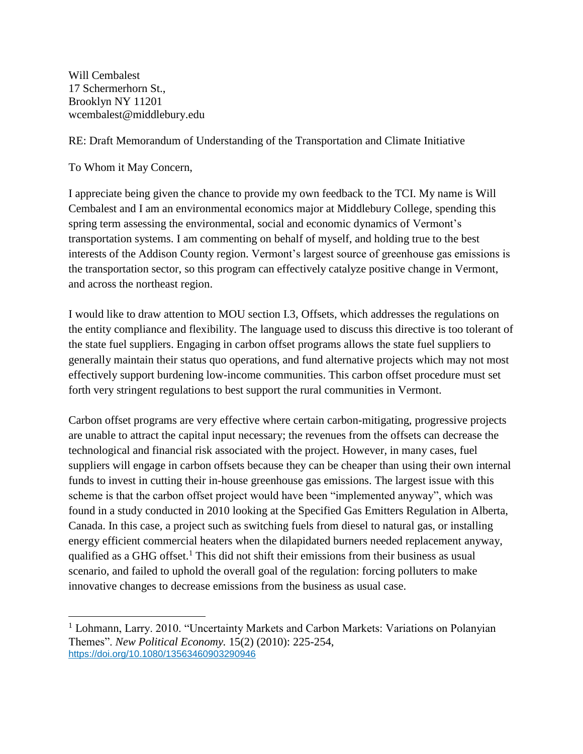Will Cembalest 17 Schermerhorn St., Brooklyn NY 11201 wcembalest@middlebury.edu

RE: Draft Memorandum of Understanding of the Transportation and Climate Initiative

To Whom it May Concern,

 $\overline{a}$ 

I appreciate being given the chance to provide my own feedback to the TCI. My name is Will Cembalest and I am an environmental economics major at Middlebury College, spending this spring term assessing the environmental, social and economic dynamics of Vermont's transportation systems. I am commenting on behalf of myself, and holding true to the best interests of the Addison County region. Vermont's largest source of greenhouse gas emissions is the transportation sector, so this program can effectively catalyze positive change in Vermont, and across the northeast region.

I would like to draw attention to MOU section I.3, Offsets, which addresses the regulations on the entity compliance and flexibility. The language used to discuss this directive is too tolerant of the state fuel suppliers. Engaging in carbon offset programs allows the state fuel suppliers to generally maintain their status quo operations, and fund alternative projects which may not most effectively support burdening low-income communities. This carbon offset procedure must set forth very stringent regulations to best support the rural communities in Vermont.

Carbon offset programs are very effective where certain carbon-mitigating, progressive projects are unable to attract the capital input necessary; the revenues from the offsets can decrease the technological and financial risk associated with the project. However, in many cases, fuel suppliers will engage in carbon offsets because they can be cheaper than using their own internal funds to invest in cutting their in-house greenhouse gas emissions. The largest issue with this scheme is that the carbon offset project would have been "implemented anyway", which was found in a study conducted in 2010 looking at the Specified Gas Emitters Regulation in Alberta, Canada. In this case, a project such as switching fuels from diesel to natural gas, or installing energy efficient commercial heaters when the dilapidated burners needed replacement anyway, qualified as a GHG offset.<sup>1</sup> This did not shift their emissions from their business as usual scenario, and failed to uphold the overall goal of the regulation: forcing polluters to make innovative changes to decrease emissions from the business as usual case.

<sup>&</sup>lt;sup>1</sup> Lohmann, Larry. 2010. "Uncertainty Markets and Carbon Markets: Variations on Polanyian Themes". *New Political Economy.* 15(2) (2010): 225-254, <https://doi.org/10.1080/13563460903290946>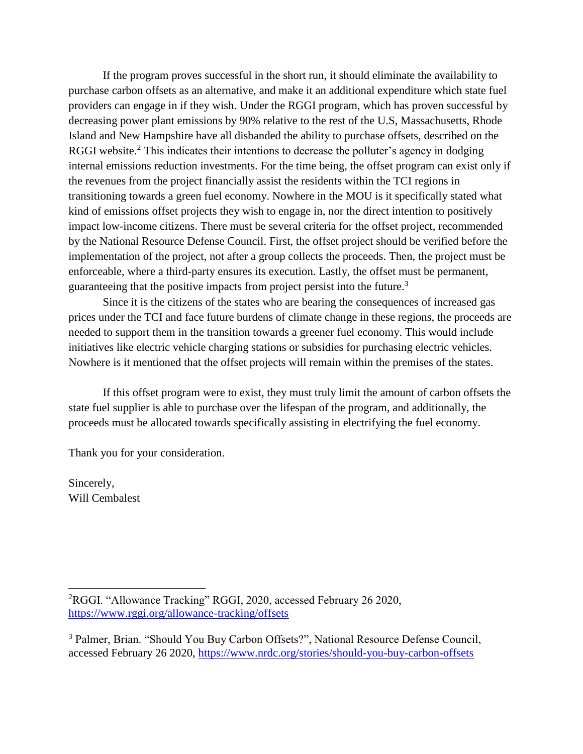If the program proves successful in the short run, it should eliminate the availability to purchase carbon offsets as an alternative, and make it an additional expenditure which state fuel providers can engage in if they wish. Under the RGGI program, which has proven successful by decreasing power plant emissions by 90% relative to the rest of the U.S, Massachusetts, Rhode Island and New Hampshire have all disbanded the ability to purchase offsets, described on the RGGI website.<sup>2</sup> This indicates their intentions to decrease the polluter's agency in dodging internal emissions reduction investments. For the time being, the offset program can exist only if the revenues from the project financially assist the residents within the TCI regions in transitioning towards a green fuel economy. Nowhere in the MOU is it specifically stated what kind of emissions offset projects they wish to engage in, nor the direct intention to positively impact low-income citizens. There must be several criteria for the offset project, recommended by the National Resource Defense Council. First, the offset project should be verified before the implementation of the project, not after a group collects the proceeds. Then, the project must be enforceable, where a third-party ensures its execution. Lastly, the offset must be permanent, guaranteeing that the positive impacts from project persist into the future.<sup>3</sup>

Since it is the citizens of the states who are bearing the consequences of increased gas prices under the TCI and face future burdens of climate change in these regions, the proceeds are needed to support them in the transition towards a greener fuel economy. This would include initiatives like electric vehicle charging stations or subsidies for purchasing electric vehicles. Nowhere is it mentioned that the offset projects will remain within the premises of the states.

If this offset program were to exist, they must truly limit the amount of carbon offsets the state fuel supplier is able to purchase over the lifespan of the program, and additionally, the proceeds must be allocated towards specifically assisting in electrifying the fuel economy.

Thank you for your consideration.

Sincerely, Will Cembalest

 $\overline{a}$ 

<sup>2</sup>RGGI. "Allowance Tracking" RGGI, 2020, accessed February 26 2020, <https://www.rggi.org/allowance-tracking/offsets>

<sup>&</sup>lt;sup>3</sup> Palmer, Brian. "Should You Buy Carbon Offsets?", National Resource Defense Council, accessed February 26 2020,<https://www.nrdc.org/stories/should-you-buy-carbon-offsets>